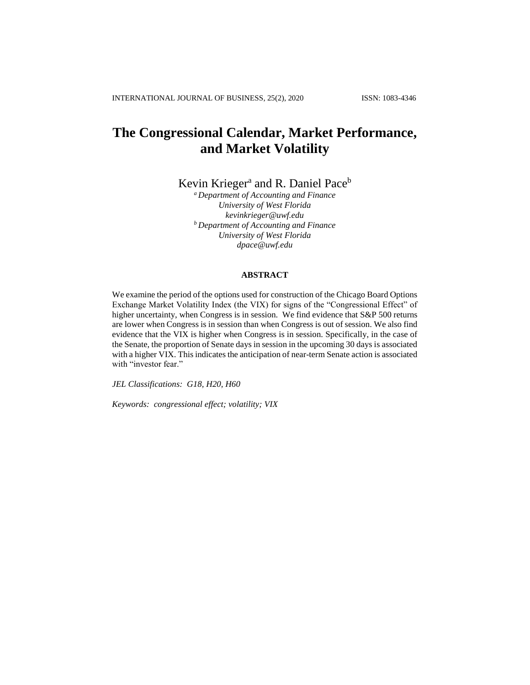# **The Congressional Calendar, Market Performance, and Market Volatility**

Kevin Krieger<sup>a</sup> and R. Daniel Pace<sup>b</sup>

*<sup>a</sup> Department of Accounting and Finance University of West Florida kevinkrieger@uwf.edu <sup>b</sup> Department of Accounting and Finance University of West Florida dpace@uwf.edu*

# **ABSTRACT**

We examine the period of the options used for construction of the Chicago Board Options Exchange Market Volatility Index (the VIX) for signs of the "Congressional Effect" of higher uncertainty, when Congress is in session. We find evidence that S&P 500 returns are lower when Congress is in session than when Congress is out of session. We also find evidence that the VIX is higher when Congress is in session. Specifically, in the case of the Senate, the proportion of Senate days in session in the upcoming 30 days is associated with a higher VIX. This indicates the anticipation of near-term Senate action is associated with "investor fear."

*JEL Classifications: G18, H20, H60*

*Keywords: congressional effect; volatility; VIX*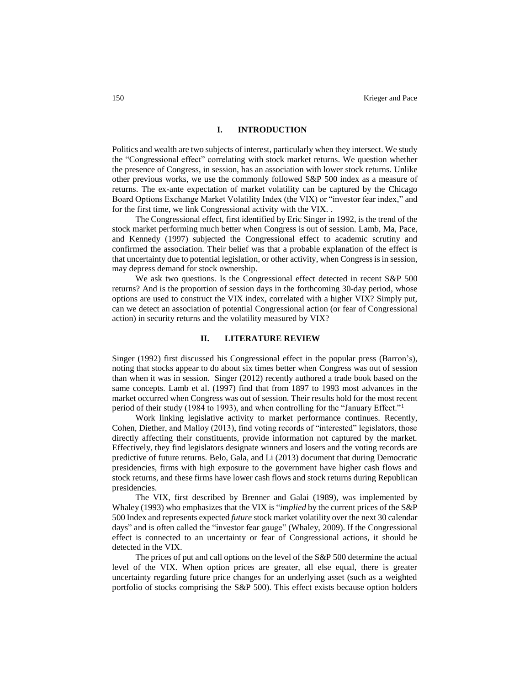#### **I. INTRODUCTION**

Politics and wealth are two subjects of interest, particularly when they intersect. We study the "Congressional effect" correlating with stock market returns. We question whether the presence of Congress, in session, has an association with lower stock returns. Unlike other previous works, we use the commonly followed S&P 500 index as a measure of returns. The ex-ante expectation of market volatility can be captured by the Chicago Board Options Exchange Market Volatility Index (the VIX) or "investor fear index," and for the first time, we link Congressional activity with the VIX. .

The Congressional effect, first identified by Eric Singer in 1992, is the trend of the stock market performing much better when Congress is out of session. Lamb, Ma, Pace, and Kennedy (1997) subjected the Congressional effect to academic scrutiny and confirmed the association. Their belief was that a probable explanation of the effect is that uncertainty due to potential legislation, or other activity, when Congress is in session, may depress demand for stock ownership.

We ask two questions. Is the Congressional effect detected in recent S&P 500 returns? And is the proportion of session days in the forthcoming 30-day period, whose options are used to construct the VIX index, correlated with a higher VIX? Simply put, can we detect an association of potential Congressional action (or fear of Congressional action) in security returns and the volatility measured by VIX?

### **II. LITERATURE REVIEW**

Singer (1992) first discussed his Congressional effect in the popular press (Barron's), noting that stocks appear to do about six times better when Congress was out of session than when it was in session. Singer (2012) recently authored a trade book based on the same concepts. Lamb et al. (1997) find that from 1897 to 1993 most advances in the market occurred when Congress was out of session. Their results hold for the most recent period of their study (1984 to 1993), and when controlling for the "January Effect."<sup>1</sup>

Work linking legislative activity to market performance continues. Recently, Cohen, Diether, and Malloy (2013), find voting records of "interested" legislators, those directly affecting their constituents, provide information not captured by the market. Effectively, they find legislators designate winners and losers and the voting records are predictive of future returns. Belo, Gala, and Li (2013) document that during Democratic presidencies, firms with high exposure to the government have higher cash flows and stock returns, and these firms have lower cash flows and stock returns during Republican presidencies.

The VIX, first described by Brenner and Galai (1989), was implemented by Whaley (1993) who emphasizes that the VIX is "*implied* by the current prices of the S&P 500 Index and represents expected *future* stock market volatility over the next 30 calendar days" and is often called the "investor fear gauge" (Whaley, 2009). If the Congressional effect is connected to an uncertainty or fear of Congressional actions, it should be detected in the VIX.

The prices of put and call options on the level of the S&P 500 determine the actual level of the VIX. When option prices are greater, all else equal, there is greater uncertainty regarding future price changes for an underlying asset (such as a weighted portfolio of stocks comprising the S&P 500). This effect exists because option holders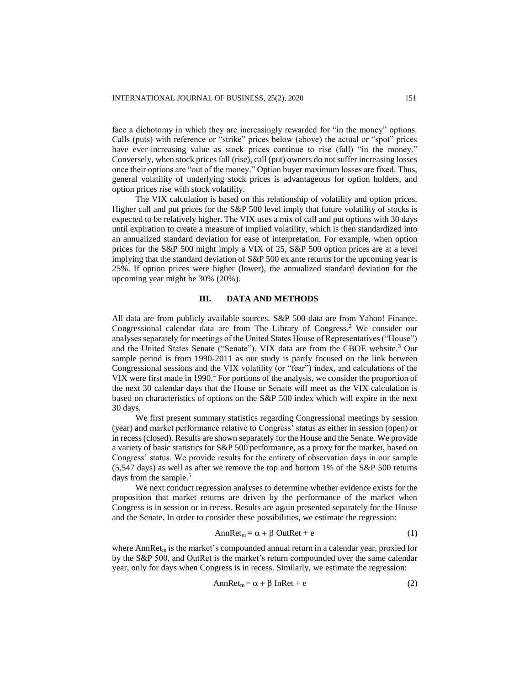face a dichotomy in which they are increasingly rewarded for "in the money" options. Calls (puts) with reference or "strike" prices below (above) the actual or "spot" prices have ever-increasing value as stock prices continue to rise (fall) "in the money." Conversely, when stock prices fall (rise), call (put) owners do not suffer increasing losses once their options are "out of the money." Option buyer maximum losses are fixed. Thus, general volatility of underlying stock prices is advantageous for option holders, and option prices rise with stock volatility.

The VIX calculation is based on this relationship of volatility and option prices. Higher call and put prices for the S&P 500 level imply that future volatility of stocks is expected to be relatively higher. The VIX uses a mix of call and put options with 30 days until expiration to create a measure of implied volatility, which is then standardized into an annualized standard deviation for ease of interpretation. For example, when option prices for the S&P 500 might imply a VIX of 25, S&P 500 option prices are at a level implying that the standard deviation of S&P 500 ex ante returns for the upcoming year is 25%. If option prices were higher (lower), the annualized standard deviation for the upcoming year might be 30% (20%).

### **III. DATA AND METHODS**

All data are from publicly available sources. S&P 500 data are from Yahoo! Finance. Congressional calendar data are from The Library of Congress. <sup>2</sup> We consider our analyses separately for meetings of the United States House of Representatives ("House") and the United States Senate ("Senate"). VIX data are from the CBOE website.<sup>3</sup> Our sample period is from 1990-2011 as our study is partly focused on the link between Congressional sessions and the VIX volatility (or "fear") index, and calculations of the VIX were first made in 1990.<sup>4</sup> For portions of the analysis, we consider the proportion of the next 30 calendar days that the House or Senate will meet as the VIX calculation is based on characteristics of options on the S&P 500 index which will expire in the next 30 days.

We first present summary statistics regarding Congressional meetings by session (year) and market performance relative to Congress' status as either in session (open) or in recess (closed). Results are shown separately for the House and the Senate. We provide a variety of basic statistics for S&P 500 performance, as a proxy for the market, based on Congress' status. We provide results for the entirety of observation days in our sample (5,547 days) as well as after we remove the top and bottom 1% of the S&P 500 returns days from the sample.<sup>5</sup>

We next conduct regression analyses to determine whether evidence exists for the proposition that market returns are driven by the performance of the market when Congress is in session or in recess. Results are again presented separately for the House and the Senate. In order to consider these possibilities, we estimate the regression:

$$
AnnRet_m = \alpha + \beta OutRet + e \tag{1}
$$

where Ann $\text{Ret}_m$  is the market's compounded annual return in a calendar year, proxied for by the S&P 500, and OutRet is the market's return compounded over the same calendar year, only for days when Congress is in recess. Similarly, we estimate the regression:

$$
AnnRet_m = \alpha + \beta InRet + e
$$
 (2)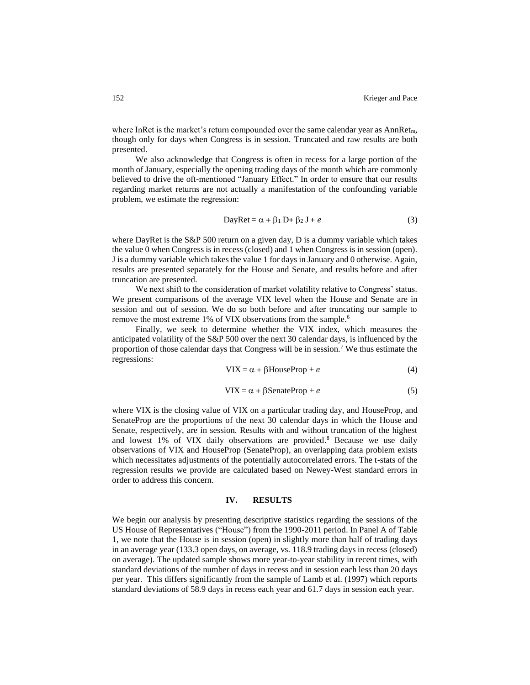where InRet is the market's return compounded over the same calendar year as  $AnnRet_m$ , though only for days when Congress is in session. Truncated and raw results are both presented.

We also acknowledge that Congress is often in recess for a large portion of the month of January, especially the opening trading days of the month which are commonly believed to drive the oft-mentioned "January Effect." In order to ensure that our results regarding market returns are not actually a manifestation of the confounding variable problem, we estimate the regression:

$$
DayRet = \alpha + \beta_1 D + \beta_2 J + e \tag{3}
$$

where DayRet is the S&P 500 return on a given day, D is a dummy variable which takes the value 0 when Congress is in recess (closed) and 1 when Congress is in session (open). J is a dummy variable which takes the value 1 for days in January and 0 otherwise. Again, results are presented separately for the House and Senate, and results before and after truncation are presented.

We next shift to the consideration of market volatility relative to Congress' status. We present comparisons of the average VIX level when the House and Senate are in session and out of session. We do so both before and after truncating our sample to remove the most extreme 1% of VIX observations from the sample.<sup>6</sup>

Finally, we seek to determine whether the VIX index, which measures the anticipated volatility of the S&P 500 over the next 30 calendar days, is influenced by the proportion of those calendar days that Congress will be in session.<sup>7</sup> We thus estimate the regressions:

$$
VIX = \alpha + \beta HouseProp + e \tag{4}
$$

$$
VIX = \alpha + \beta \text{ SenateProp} + e \tag{5}
$$

where VIX is the closing value of VIX on a particular trading day, and HouseProp, and SenateProp are the proportions of the next 30 calendar days in which the House and Senate, respectively, are in session. Results with and without truncation of the highest and lowest 1% of VIX daily observations are provided. <sup>8</sup> Because we use daily observations of VIX and HouseProp (SenateProp), an overlapping data problem exists which necessitates adjustments of the potentially autocorrelated errors. The t-stats of the regression results we provide are calculated based on Newey-West standard errors in order to address this concern.

#### **IV. RESULTS**

We begin our analysis by presenting descriptive statistics regarding the sessions of the US House of Representatives ("House") from the 1990-2011 period. In Panel A of Table 1, we note that the House is in session (open) in slightly more than half of trading days in an average year (133.3 open days, on average, vs. 118.9 trading days in recess (closed) on average). The updated sample shows more year-to-year stability in recent times, with standard deviations of the number of days in recess and in session each less than 20 days per year. This differs significantly from the sample of Lamb et al. (1997) which reports standard deviations of 58.9 days in recess each year and 61.7 days in session each year.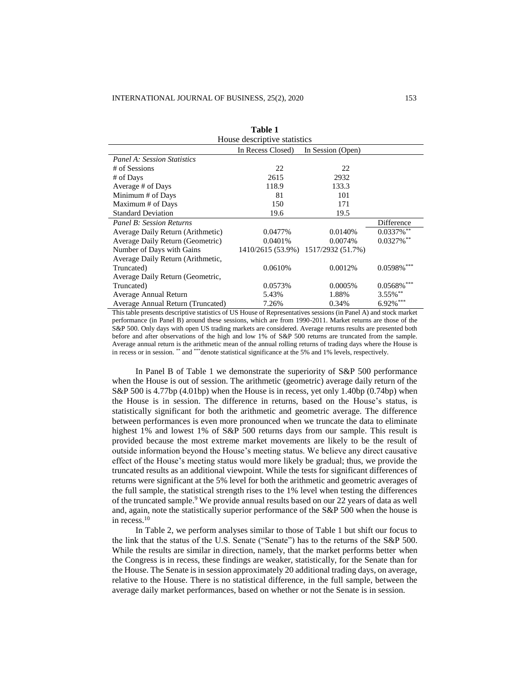|                                    | Table 1           |                                     |                          |
|------------------------------------|-------------------|-------------------------------------|--------------------------|
| House descriptive statistics       |                   |                                     |                          |
|                                    | In Recess Closed) | In Session (Open)                   |                          |
| <b>Panel A: Session Statistics</b> |                   |                                     |                          |
| # of Sessions                      | 22                | 22                                  |                          |
| # of Days                          | 2615              | 2932                                |                          |
| Average # of Days                  | 118.9             | 133.3                               |                          |
| Minimum # of Days                  | 81                | 101                                 |                          |
| Maximum # of Days                  | 150               | 171                                 |                          |
| <b>Standard Deviation</b>          | 19.6              | 19.5                                |                          |
| <b>Panel B: Session Returns</b>    |                   |                                     | Difference               |
| Average Daily Return (Arithmetic)  | 0.0477%           | 0.0140%                             | $0.0337\%$ **            |
| Average Daily Return (Geometric)   | 0.0401\%          | 0.0074%                             | $0.0327\%$ <sup>**</sup> |
| Number of Days with Gains          |                   | 1410/2615 (53.9%) 1517/2932 (51.7%) |                          |
| Average Daily Return (Arithmetic,  |                   |                                     |                          |
| Truncated)                         | 0.0610%           | 0.0012%                             | $0.0598\%$ ***           |
| Average Daily Return (Geometric,   |                   |                                     |                          |
| Truncated)                         | 0.0573%           | 0.0005%                             | $0.0568\%$ ***           |
| Average Annual Return              | 5.43%             | 1.88%                               | 3.55%**                  |
| Average Annual Return (Truncated)  | 7.26%             | 0.34%                               | $6.92\%$ ***             |

This table presents descriptive statistics of US House of Representatives sessions (in Panel A) and stock market performance (in Panel B) around these sessions, which are from 1990-2011. Market returns are those of the S&P 500. Only days with open US trading markets are considered. Average returns results are presented both before and after observations of the high and low 1% of S&P 500 returns are truncated from the sample. Average annual return is the arithmetic mean of the annual rolling returns of trading days where the House is in recess or in session. \*\* and \*\*\*denote statistical significance at the 5% and 1% levels, respectively.

In Panel B of Table 1 we demonstrate the superiority of S&P 500 performance when the House is out of session. The arithmetic (geometric) average daily return of the S&P 500 is 4.77bp (4.01bp) when the House is in recess, yet only 1.40bp (0.74bp) when the House is in session. The difference in returns, based on the House's status, is statistically significant for both the arithmetic and geometric average. The difference between performances is even more pronounced when we truncate the data to eliminate highest 1% and lowest 1% of S&P 500 returns days from our sample. This result is provided because the most extreme market movements are likely to be the result of outside information beyond the House's meeting status. We believe any direct causative effect of the House's meeting status would more likely be gradual; thus, we provide the truncated results as an additional viewpoint. While the tests for significant differences of returns were significant at the 5% level for both the arithmetic and geometric averages of the full sample, the statistical strength rises to the 1% level when testing the differences of the truncated sample. <sup>9</sup> We provide annual results based on our 22 years of data as well and, again, note the statistically superior performance of the S&P 500 when the house is in recess. 10

In Table 2, we perform analyses similar to those of Table 1 but shift our focus to the link that the status of the U.S. Senate ("Senate") has to the returns of the S&P 500. While the results are similar in direction, namely, that the market performs better when the Congress is in recess, these findings are weaker, statistically, for the Senate than for the House. The Senate is in session approximately 20 additional trading days, on average, relative to the House. There is no statistical difference, in the full sample, between the average daily market performances, based on whether or not the Senate is in session.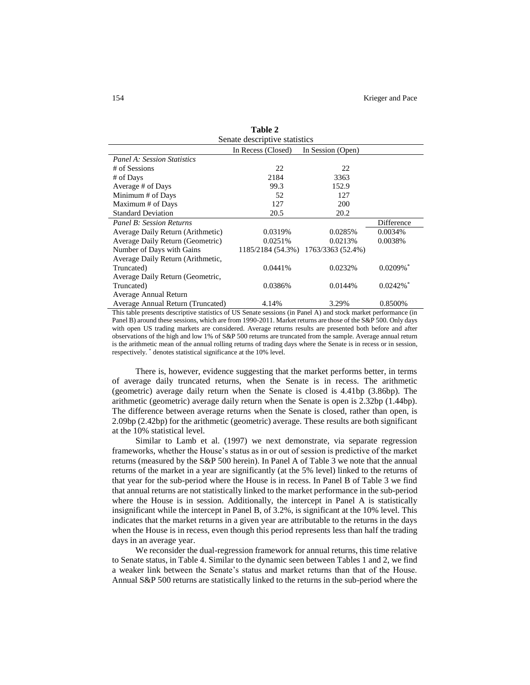| Senate descriptive statistics      |                    |                                     |                         |
|------------------------------------|--------------------|-------------------------------------|-------------------------|
|                                    | In Recess (Closed) | In Session (Open)                   |                         |
| <b>Panel A: Session Statistics</b> |                    |                                     |                         |
| # of Sessions                      | 22                 | 22                                  |                         |
| # of Days                          | 2184               | 3363                                |                         |
| Average # of Days                  | 99.3               | 152.9                               |                         |
| Minimum # of Days                  | 52                 | 127                                 |                         |
| Maximum # of Days                  | 127                | 200                                 |                         |
| <b>Standard Deviation</b>          | 20.5               | 20.2                                |                         |
| Panel B: Session Returns           |                    |                                     | Difference              |
| Average Daily Return (Arithmetic)  | 0.0319%            | 0.0285%                             | 0.0034%                 |
| Average Daily Return (Geometric)   | 0.0251%            | 0.0213%                             | 0.0038%                 |
| Number of Days with Gains          |                    | 1185/2184 (54.3%) 1763/3363 (52.4%) |                         |
| Average Daily Return (Arithmetic,  |                    |                                     |                         |
| Truncated)                         | 0.0441%            | 0.0232%                             | $0.0209\%$ <sup>*</sup> |
| Average Daily Return (Geometric,   |                    |                                     |                         |
| Truncated)                         | 0.0386%            | 0.0144%                             | $0.0242\%$ <sup>*</sup> |
| Average Annual Return              |                    |                                     |                         |
| Average Annual Return (Truncated)  | 4.14%              | 3.29%                               | 0.8500%                 |

**Table 2**

This table presents descriptive statistics of US Senate sessions (in Panel A) and stock market performance (in Panel B) around these sessions, which are from 1990-2011. Market returns are those of the S&P 500. Only days with open US trading markets are considered. Average returns results are presented both before and after observations of the high and low 1% of S&P 500 returns are truncated from the sample. Average annual return is the arithmetic mean of the annual rolling returns of trading days where the Senate is in recess or in session, respectively. \* denotes statistical significance at the 10% level.

There is, however, evidence suggesting that the market performs better, in terms of average daily truncated returns, when the Senate is in recess. The arithmetic (geometric) average daily return when the Senate is closed is 4.41bp (3.86bp). The arithmetic (geometric) average daily return when the Senate is open is 2.32bp (1.44bp). The difference between average returns when the Senate is closed, rather than open, is 2.09bp (2.42bp) for the arithmetic (geometric) average. These results are both significant at the 10% statistical level.

Similar to Lamb et al. (1997) we next demonstrate, via separate regression frameworks, whether the House's status as in or out of session is predictive of the market returns (measured by the S&P 500 herein). In Panel A of Table 3 we note that the annual returns of the market in a year are significantly (at the 5% level) linked to the returns of that year for the sub-period where the House is in recess. In Panel B of Table 3 we find that annual returns are not statistically linked to the market performance in the sub-period where the House is in session. Additionally, the intercept in Panel A is statistically insignificant while the intercept in Panel B, of 3.2%, is significant at the 10% level. This indicates that the market returns in a given year are attributable to the returns in the days when the House is in recess, even though this period represents less than half the trading days in an average year.

We reconsider the dual-regression framework for annual returns, this time relative to Senate status, in Table 4. Similar to the dynamic seen between Tables 1 and 2, we find a weaker link between the Senate's status and market returns than that of the House. Annual S&P 500 returns are statistically linked to the returns in the sub-period where the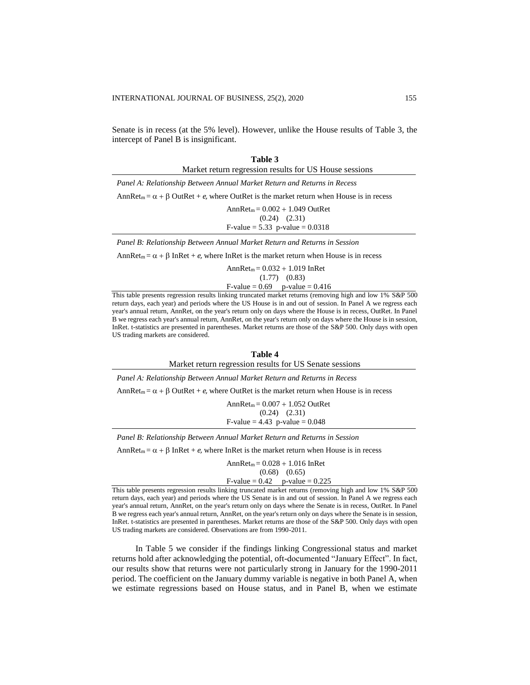Senate is in recess (at the 5% level). However, unlike the House results of Table 3, the intercept of Panel B is insignificant.

**Table 3**

| таніс э                                                                                                   |
|-----------------------------------------------------------------------------------------------------------|
| Market return regression results for US House sessions                                                    |
| Panel A: Relationship Between Annual Market Return and Returns in Recess                                  |
| Ann $\text{Ret}_m = \alpha + \beta$ OutRet + e, where OutRet is the market return when House is in recess |
| $AnnRet_m = 0.002 + 1.049$ OutRet                                                                         |
| $(0.24)$ $(2.31)$                                                                                         |
| F-value = $5.33$ p-value = $0.0318$                                                                       |
|                                                                                                           |

*Panel B: Relationship Between Annual Market Return and Returns in Session*

AnnRet<sub>m</sub> =  $\alpha$  +  $\beta$  InRet + *e*, where InRet is the market return when House is in recess

 $AnnRet_m = 0.032 + 1.019 InRet$  (1.77) (0.83)  $F-value = 0.69$  p-value = 0.416

This table presents regression results linking truncated market returns (removing high and low 1% S&P 500 return days, each year) and periods where the US House is in and out of session. In Panel A we regress each year's annual return, AnnRet, on the year's return only on days where the House is in recess, OutRet. In Panel B we regress each year's annual return, AnnRet, on the year's return only on days where the House is in session, InRet. t-statistics are presented in parentheses. Market returns are those of the S&P 500. Only days with open US trading markets are considered.

| Table 4                                                                                                     |
|-------------------------------------------------------------------------------------------------------------|
| Market return regression results for US Senate sessions                                                     |
| Panel A: Relationship Between Annual Market Return and Returns in Recess                                    |
| Ann $\text{Ret}_{m} = \alpha + \beta$ OutRet + e, where OutRet is the market return when House is in recess |
| $AnnRet_m = 0.007 + 1.052$ OutRet                                                                           |
| $(0.24)$ $(2.31)$                                                                                           |
| F-value = $4.43$ p-value = 0.048                                                                            |
| Panel B: Relationship Between Annual Market Return and Returns in Session                                   |
| Ann $\text{Ret}_{m} = \alpha + \beta$ InRet + e, where InRet is the market return when House is in recess   |

 $AnnRet_m = 0.028 + 1.016 InRet$  (0.68) (0.65) F-value =  $0.42$  p-value =  $0.225$ 

This table presents regression results linking truncated market returns (removing high and low 1% S&P 500 return days, each year) and periods where the US Senate is in and out of session. In Panel A we regress each year's annual return, AnnRet, on the year's return only on days where the Senate is in recess, OutRet. In Panel B we regress each year's annual return, AnnRet, on the year's return only on days where the Senate is in session, InRet. t-statistics are presented in parentheses. Market returns are those of the S&P 500. Only days with open US trading markets are considered. Observations are from 1990-2011.

In Table 5 we consider if the findings linking Congressional status and market returns hold after acknowledging the potential, oft-documented "January Effect". In fact, our results show that returns were not particularly strong in January for the 1990-2011 period. The coefficient on the January dummy variable is negative in both Panel A, when we estimate regressions based on House status, and in Panel B, when we estimate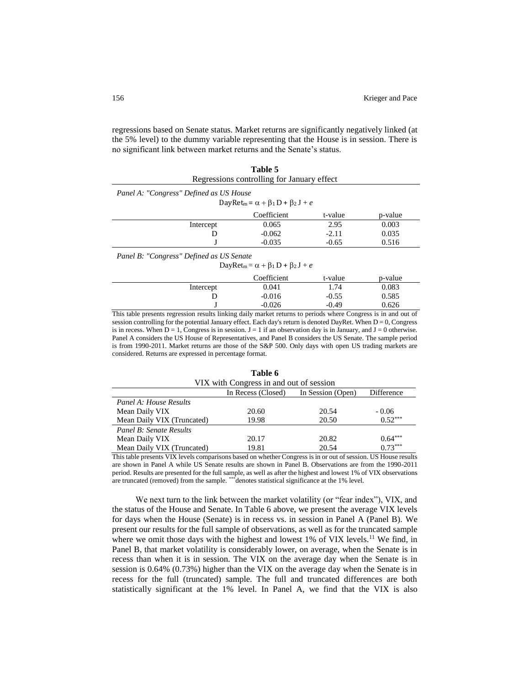regressions based on Senate status. Market returns are significantly negatively linked (at the 5% level) to the dummy variable representing that the House is in session. There is no significant link between market returns and the Senate's status.

|                                         | Table 5<br>Regressions controlling for January effect                                       |         |         |
|-----------------------------------------|---------------------------------------------------------------------------------------------|---------|---------|
| Panel A: "Congress" Defined as US House | DayRet <sub>m</sub> = $\alpha$ + $\beta$ <sub>1</sub> D + $\beta$ <sub>2</sub> J + <i>e</i> |         |         |
|                                         | Coefficient                                                                                 | t-value | p-value |
| Intercept                               | 0.065                                                                                       | 2.95    | 0.003   |
|                                         | $-0.062$                                                                                    | $-2.11$ | 0.035   |
|                                         | $-0.035$                                                                                    | $-0.65$ | 0.516   |

*Panel B: "Congress" Defined as US Senate*

 $DayRet_m = \alpha + \beta_1 D + \beta_2 J + e$ 

|           | Coefficient | t-value | p-value |
|-----------|-------------|---------|---------|
| Intercept | 0.041       | 1.74    | 0.083   |
|           | $-0.016$    | $-0.55$ | 0.585   |
|           | $-0.026$    | -0.49   | 0.626   |

This table presents regression results linking daily market returns to periods where Congress is in and out of session controlling for the potential January effect. Each day's return is denoted DayRet. When  $D = 0$ , Congress is in recess. When  $D = 1$ , Congress is in session.  $J = 1$  if an observation day is in January, and  $J = 0$  otherwise. Panel A considers the US House of Representatives, and Panel B considers the US Senate. The sample period is from 1990-2011. Market returns are those of the S&P 500. Only days with open US trading markets are considered. Returns are expressed in percentage format.

| VIX with Congress in and out of session |                    |                   |            |
|-----------------------------------------|--------------------|-------------------|------------|
|                                         | In Recess (Closed) | In Session (Open) | Difference |
| Panel A: House Results                  |                    |                   |            |
| Mean Daily VIX                          | 20.60              | 20.54             | $-0.06$    |
| Mean Daily VIX (Truncated)              | 19.98              | 20.50             | $0.52***$  |
| Panel B: Senate Results                 |                    |                   |            |
| Mean Daily VIX                          | 20.17              | 20.82             | $0.64***$  |
| Mean Daily VIX (Truncated)              | 19.81              | 20.54             | $0.73***$  |

**Table 6**

This table presents VIX levels comparisons based on whether Congress is in or out of session. US House results are shown in Panel A while US Senate results are shown in Panel B. Observations are from the 1990-2011 period. Results are presented for the full sample, as well as after the highest and lowest 1% of VIX observations are truncated (removed) from the sample. \*\*\* denotes statistical significance at the 1% level.

We next turn to the link between the market volatility (or "fear index"), VIX, and the status of the House and Senate. In Table 6 above, we present the average VIX levels for days when the House (Senate) is in recess vs. in session in Panel A (Panel B). We present our results for the full sample of observations, as well as for the truncated sample where we omit those days with the highest and lowest  $1\%$  of VIX levels.<sup>11</sup> We find, in Panel B, that market volatility is considerably lower, on average, when the Senate is in recess than when it is in session. The VIX on the average day when the Senate is in session is 0.64% (0.73%) higher than the VIX on the average day when the Senate is in recess for the full (truncated) sample. The full and truncated differences are both statistically significant at the 1% level. In Panel A, we find that the VIX is also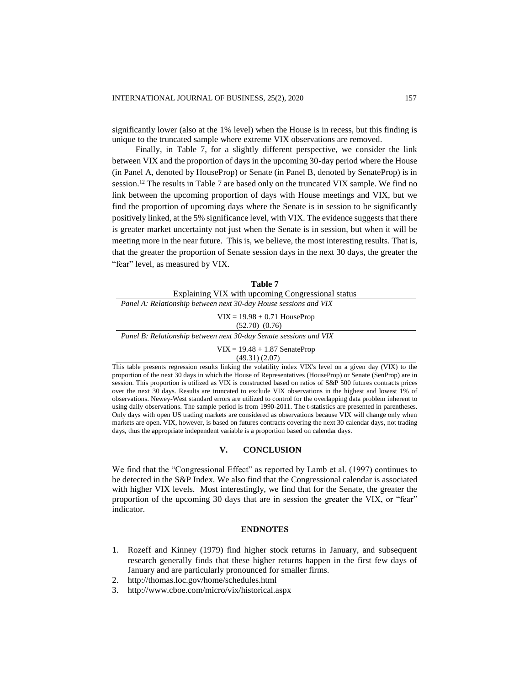significantly lower (also at the 1% level) when the House is in recess, but this finding is unique to the truncated sample where extreme VIX observations are removed.

Finally, in Table 7, for a slightly different perspective, we consider the link between VIX and the proportion of days in the upcoming 30-day period where the House (in Panel A, denoted by HouseProp) or Senate (in Panel B, denoted by SenateProp) is in session.<sup>12</sup> The results in Table 7 are based only on the truncated VIX sample. We find no link between the upcoming proportion of days with House meetings and VIX, but we find the proportion of upcoming days where the Senate is in session to be significantly positively linked, at the 5% significance level, with VIX. The evidence suggests that there is greater market uncertainty not just when the Senate is in session, but when it will be meeting more in the near future. This is, we believe, the most interesting results. That is, that the greater the proportion of Senate session days in the next 30 days, the greater the "fear" level, as measured by VIX.

| Table 7                                                           |
|-------------------------------------------------------------------|
| Explaining VIX with upcoming Congressional status                 |
| Panel A: Relationship between next 30-day House sessions and VIX  |
| $VIX = 19.98 + 0.71$ HouseProp<br>$(52.70)$ $(0.76)$              |
| Panel B: Relationship between next 30-day Senate sessions and VIX |
| $VIX = 19.48 + 1.87$ SenateProp                                   |

(49.31) (2.07)

This table presents regression results linking the volatility index VIX's level on a given day (VIX) to the proportion of the next 30 days in which the House of Representatives (HouseProp) or Senate (SenProp) are in session. This proportion is utilized as VIX is constructed based on ratios of S&P 500 futures contracts prices over the next 30 days. Results are truncated to exclude VIX observations in the highest and lowest 1% of observations. Newey-West standard errors are utilized to control for the overlapping data problem inherent to using daily observations. The sample period is from 1990-2011. The t-statistics are presented in parentheses. Only days with open US trading markets are considered as observations because VIX will change only when markets are open. VIX, however, is based on futures contracts covering the next 30 calendar days, not trading days, thus the appropriate independent variable is a proportion based on calendar days.

## **V. CONCLUSION**

We find that the "Congressional Effect" as reported by Lamb et al. (1997) continues to be detected in the S&P Index. We also find that the Congressional calendar is associated with higher VIX levels. Most interestingly, we find that for the Senate, the greater the proportion of the upcoming 30 days that are in session the greater the VIX, or "fear" indicator.

### **ENDNOTES**

- 1. Rozeff and Kinney (1979) find higher stock returns in January, and subsequent research generally finds that these higher returns happen in the first few days of January and are particularly pronounced for smaller firms.
- 2. <http://thomas.loc.gov/home/schedules.html>
- 3. <http://www.cboe.com/micro/vix/historical.aspx>